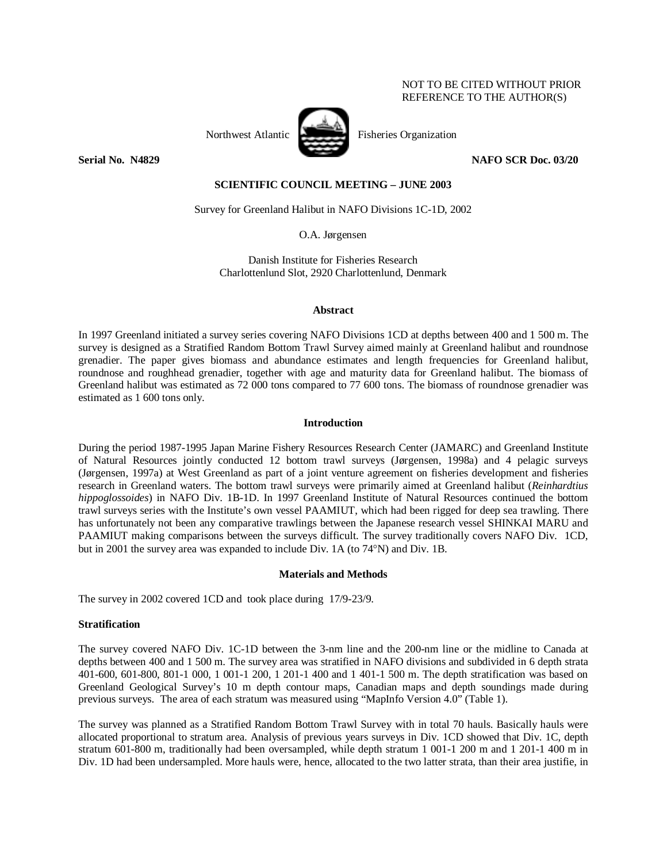# NOT TO BE CITED WITHOUT PRIOR REFERENCE TO THE AUTHOR(S)



Northwest Atlantic Fisheries Organization

**Serial No. N4829 NAFO SCR Doc. 03/20** 

# **SCIENTIFIC COUNCIL MEETING – JUNE 2003**

Survey for Greenland Halibut in NAFO Divisions 1C-1D, 2002

O.A. Jørgensen

Danish Institute for Fisheries Research Charlottenlund Slot, 2920 Charlottenlund, Denmark

## **Abstract**

In 1997 Greenland initiated a survey series covering NAFO Divisions 1CD at depths between 400 and 1 500 m. The survey is designed as a Stratified Random Bottom Trawl Survey aimed mainly at Greenland halibut and roundnose grenadier. The paper gives biomass and abundance estimates and length frequencies for Greenland halibut, roundnose and roughhead grenadier, together with age and maturity data for Greenland halibut. The biomass of Greenland halibut was estimated as 72 000 tons compared to 77 600 tons. The biomass of roundnose grenadier was estimated as 1 600 tons only.

# **Introduction**

During the period 1987-1995 Japan Marine Fishery Resources Research Center (JAMARC) and Greenland Institute of Natural Resources jointly conducted 12 bottom trawl surveys (Jørgensen, 1998a) and 4 pelagic surveys (Jørgensen, 1997a) at West Greenland as part of a joint venture agreement on fisheries development and fisheries research in Greenland waters. The bottom trawl surveys were primarily aimed at Greenland halibut (*Reinhardtius hippoglossoides*) in NAFO Div. 1B-1D. In 1997 Greenland Institute of Natural Resources continued the bottom trawl surveys series with the Institute's own vessel PAAMIUT, which had been rigged for deep sea trawling. There has unfortunately not been any comparative trawlings between the Japanese research vessel SHINKAI MARU and PAAMIUT making comparisons between the surveys difficult. The survey traditionally covers NAFO Div. 1CD, but in 2001 the survey area was expanded to include Div. 1A (to 74°N) and Div. 1B.

## **Materials and Methods**

The survey in 2002 covered 1CD and took place during 17/9-23/9.

## **Stratification**

The survey covered NAFO Div. 1C-1D between the 3-nm line and the 200-nm line or the midline to Canada at depths between 400 and 1 500 m. The survey area was stratified in NAFO divisions and subdivided in 6 depth strata 401-600, 601-800, 801-1 000, 1 001-1 200, 1 201-1 400 and 1 401-1 500 m. The depth stratification was based on Greenland Geological Survey's 10 m depth contour maps, Canadian maps and depth soundings made during previous surveys. The area of each stratum was measured using "MapInfo Version 4.0" (Table 1).

The survey was planned as a Stratified Random Bottom Trawl Survey with in total 70 hauls. Basically hauls were allocated proportional to stratum area. Analysis of previous years surveys in Div. 1CD showed that Div. 1C, depth stratum 601-800 m, traditionally had been oversampled, while depth stratum 1 001-1 200 m and 1 201-1 400 m in Div. 1D had been undersampled. More hauls were, hence, allocated to the two latter strata, than their area justifie, in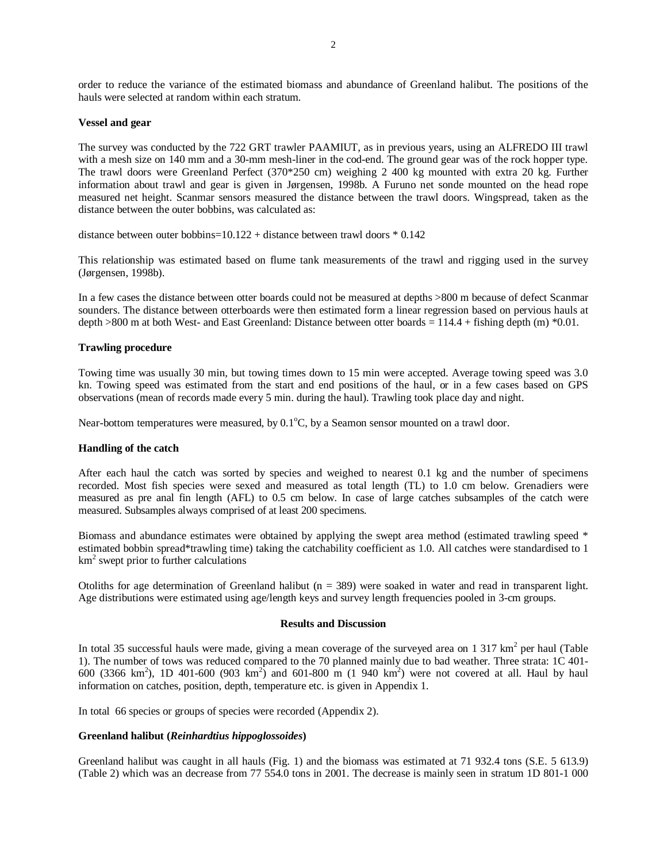order to reduce the variance of the estimated biomass and abundance of Greenland halibut. The positions of the hauls were selected at random within each stratum.

#### **Vessel and gear**

The survey was conducted by the 722 GRT trawler PAAMIUT, as in previous years, using an ALFREDO III trawl with a mesh size on 140 mm and a 30-mm mesh-liner in the cod-end. The ground gear was of the rock hopper type. The trawl doors were Greenland Perfect (370\*250 cm) weighing 2 400 kg mounted with extra 20 kg. Further information about trawl and gear is given in Jørgensen, 1998b. A Furuno net sonde mounted on the head rope measured net height. Scanmar sensors measured the distance between the trawl doors. Wingspread, taken as the distance between the outer bobbins, was calculated as:

distance between outer bobbins=10.122 + distance between trawl doors \* 0.142

This relationship was estimated based on flume tank measurements of the trawl and rigging used in the survey (Jørgensen, 1998b).

In a few cases the distance between otter boards could not be measured at depths >800 m because of defect Scanmar sounders. The distance between otterboards were then estimated form a linear regression based on pervious hauls at depth >800 m at both West- and East Greenland: Distance between otter boards = 114.4 + fishing depth (m) \*0.01.

## **Trawling procedure**

Towing time was usually 30 min, but towing times down to 15 min were accepted. Average towing speed was 3.0 kn. Towing speed was estimated from the start and end positions of the haul, or in a few cases based on GPS observations (mean of records made every 5 min. during the haul). Trawling took place day and night.

Near-bottom temperatures were measured, by  $0.1^{\circ}$ C, by a Seamon sensor mounted on a trawl door.

# **Handling of the catch**

After each haul the catch was sorted by species and weighed to nearest 0.1 kg and the number of specimens recorded. Most fish species were sexed and measured as total length (TL) to 1.0 cm below. Grenadiers were measured as pre anal fin length (AFL) to 0.5 cm below. In case of large catches subsamples of the catch were measured. Subsamples always comprised of at least 200 specimens.

Biomass and abundance estimates were obtained by applying the swept area method (estimated trawling speed \* estimated bobbin spread\*trawling time) taking the catchability coefficient as 1.0. All catches were standardised to 1 km<sup>2</sup> swept prior to further calculations

Otoliths for age determination of Greenland halibut  $(n = 389)$  were soaked in water and read in transparent light. Age distributions were estimated using age/length keys and survey length frequencies pooled in 3-cm groups.

## **Results and Discussion**

In total 35 successful hauls were made, giving a mean coverage of the surveyed area on 1 317  $km^2$  per haul (Table 1). The number of tows was reduced compared to the 70 planned mainly due to bad weather. Three strata: 1C 401- 600 (3366 km<sup>2</sup>), 1D 401-600 (903 km<sup>2</sup>) and 601-800 m (1 940 km<sup>2</sup>) were not covered at all. Haul by haul information on catches, position, depth, temperature etc. is given in Appendix 1.

In total 66 species or groups of species were recorded (Appendix 2).

# **Greenland halibut (***Reinhardtius hippoglossoides***)**

Greenland halibut was caught in all hauls (Fig. 1) and the biomass was estimated at 71 932.4 tons (S.E. 5 613.9) (Table 2) which was an decrease from 77 554.0 tons in 2001. The decrease is mainly seen in stratum 1D 801-1 000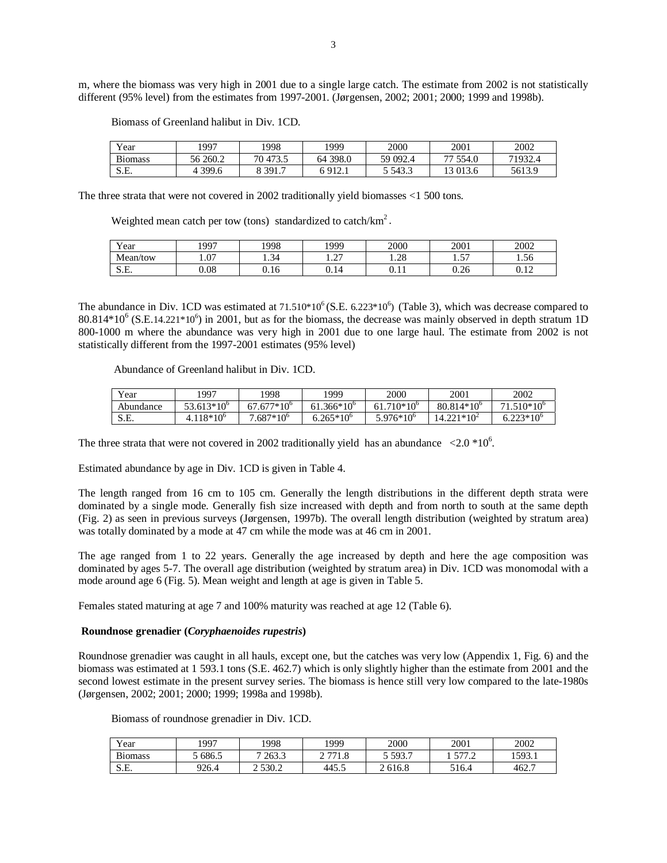m, where the biomass was very high in 2001 due to a single large catch. The estimate from 2002 is not statistically different (95% level) from the estimates from 1997-2001. (Jørgensen, 2002; 2001; 2000; 1999 and 1998b).

| Year           | 1997      | 998      | 1999     | 2000     | 2001     | 2002    |
|----------------|-----------|----------|----------|----------|----------|---------|
| <b>Biomass</b> | 56 260.2  | 70 473.5 | 64 398.0 | 59 092.4 | 77 554.0 | 71932.4 |
| S.E.           | 4 3 9 9.6 | 391.7    | $-912.1$ | 5 543.3  | 13 013.6 | 5613.9  |

Biomass of Greenland halibut in Div. 1CD.

The three strata that were not covered in 2002 traditionally yield biomasses <1 500 tons.

Weighted mean catch per tow (tons) standardized to catch/ $km<sup>2</sup>$ .

| Year                       | 1997 | 1998                     | 1999                              | 2000             | 2001                   | 2002           |
|----------------------------|------|--------------------------|-----------------------------------|------------------|------------------------|----------------|
| Mean/tow                   | 1.07 | $\sim$<br>-14<br>⊥ .  ு⊤ | $\sim$<br>$\cdot$ $\sim$ $\prime$ | $\Omega$<br>1.40 | F <sub>T</sub><br>1.JI | 1.56           |
| $\alpha$ $\Gamma$<br>.J.L. | 0.08 | U.IO                     | 0.14                              | v. 11            | 0.26                   | 1 <sub>2</sub> |

The abundance in Div. 1CD was estimated at  $71.510*10^6$  (S.E. 6.223\*10<sup>6</sup>) (Table 3), which was decrease compared to 80.814\*10<sup>6</sup> (S.E.14.221\*10<sup>6</sup>) in 2001, but as for the biomass, the decrease was mainly observed in depth stratum 1D 800-1000 m where the abundance was very high in 2001 due to one large haul. The estimate from 2002 is not statistically different from the 1997-2001 estimates (95% level)

Abundance of Greenland halibut in Div. 1CD.

| Year      | 997                | 1998            | 1999               | 2000                | 2001                | 2002              |
|-----------|--------------------|-----------------|--------------------|---------------------|---------------------|-------------------|
| Abundance | $53.613*10^6$      | $67.677*10^{6}$ | $61.366*10^6$      | $61.710*10^{\circ}$ | $80.814*10^{\circ}$ | $.510*10^6$<br>71 |
| S.E.      | $4.118*10^{\circ}$ | $7.687*10^{6}$  | $6.265*10^{\circ}$ | $5.976*10^{\circ}$  | $14.221*10^{2}$     | $6.223*10^{6}$    |

The three strata that were not covered in 2002 traditionally yield has an abundance  $\langle 2.0 \times 10^6 \rangle$ .

Estimated abundance by age in Div. 1CD is given in Table 4.

The length ranged from 16 cm to 105 cm. Generally the length distributions in the different depth strata were dominated by a single mode. Generally fish size increased with depth and from north to south at the same depth (Fig. 2) as seen in previous surveys (Jørgensen, 1997b). The overall length distribution (weighted by stratum area) was totally dominated by a mode at 47 cm while the mode was at 46 cm in 2001.

The age ranged from 1 to 22 years. Generally the age increased by depth and here the age composition was dominated by ages 5-7. The overall age distribution (weighted by stratum area) in Div. 1CD was monomodal with a mode around age 6 (Fig. 5). Mean weight and length at age is given in Table 5.

Females stated maturing at age 7 and 100% maturity was reached at age 12 (Table 6).

#### **Roundnose grenadier (***Coryphaenoides rupestris***)**

Roundnose grenadier was caught in all hauls, except one, but the catches was very low (Appendix 1, Fig. 6) and the biomass was estimated at 1 593.1 tons (S.E. 462.7) which is only slightly higher than the estimate from 2001 and the second lowest estimate in the present survey series. The biomass is hence still very low compared to the late-1980s (Jørgensen, 2002; 2001; 2000; 1999; 1998a and 1998b).

Biomass of roundnose grenadier in Div. 1CD.

| $\mathbf{v}$<br>Year | 997   | 1998       | 1999             | 2000         | 2001             | 2002                     |
|----------------------|-------|------------|------------------|--------------|------------------|--------------------------|
| n.<br>B10mass        | 686.5 | 7 263.3    | 7710<br>1.0<br>∸ | , 593.7      | ר דדש<br>$\cdot$ | 1593.<br>1 <i>.,,</i> ,, |
| S.E.                 | 926.4 | 530.2<br>∼ | 445.5            | 2 616.8<br>∼ | E1C<br>16.4      | 462.7                    |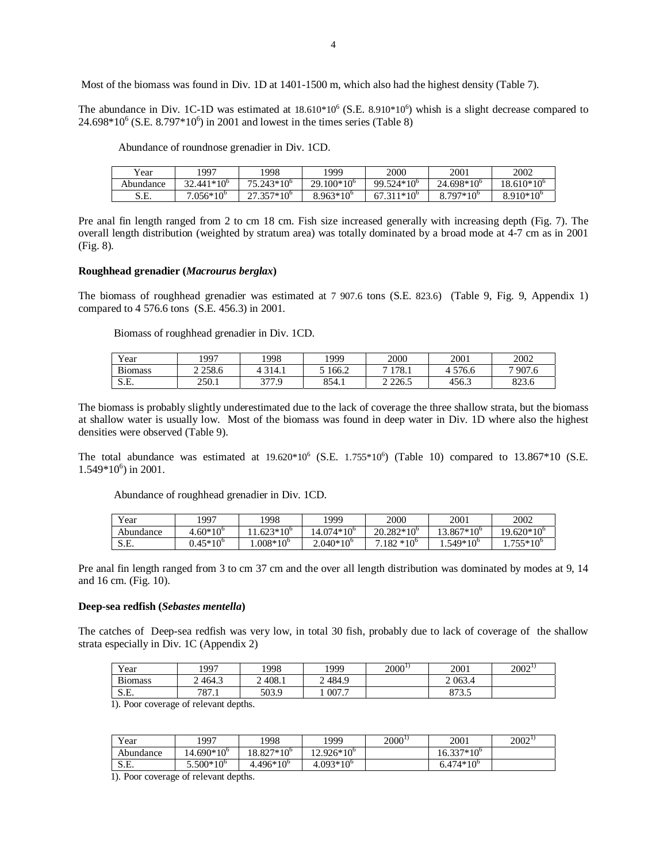Most of the biomass was found in Div. 1D at 1401-1500 m, which also had the highest density (Table 7).

The abundance in Div. 1C-1D was estimated at  $18.610*10^6$  (S.E.  $8.910*10^6$ ) whish is a slight decrease compared to  $24.698*10^6$  (S.E. 8.797 $*10^6$ ) in 2001 and lowest in the times series (Table 8)

Abundance of roundnose grenadier in Div. 1CD.

| Year      | 997                 | 1998          | 1999               | 2000                | 2001                | 2002               |
|-----------|---------------------|---------------|--------------------|---------------------|---------------------|--------------------|
| Abundance | $32.441*10^{\circ}$ | $75.243*10^6$ | $29.100*10^6$      | $99.524*10^{\circ}$ | $24.698*10^{\circ}$ | 18.610*10°         |
| S.E.      | $7.056*10^{\circ}$  | $27.357*10^6$ | $8.963*10^{\circ}$ | $67.311*10^{\circ}$ | $8.797*10^{\circ}$  | $8.910*10^{\circ}$ |

Pre anal fin length ranged from 2 to cm 18 cm. Fish size increased generally with increasing depth (Fig. 7). The overall length distribution (weighted by stratum area) was totally dominated by a broad mode at 4-7 cm as in 2001 (Fig. 8).

#### **Roughhead grenadier (***Macrourus berglax***)**

The biomass of roughhead grenadier was estimated at 7 907.6 tons (S.E. 823.6) (Table 9, Fig. 9, Appendix 1) compared to 4 576.6 tons (S.E. 456.3) in 2001.

Biomass of roughhead grenadier in Div. 1CD.

| $v_{\text{ear}}$        | .997  | !998         | 1999  | 2000       | 2001  | 2002                             |
|-------------------------|-------|--------------|-------|------------|-------|----------------------------------|
| $\mathbf{r}$<br>B10mass | 258.6 | 314.1        | 166.2 | 178.1      | 576.6 | 907.6<br>–                       |
| S.E.                    | 250.1 | 377 Q<br>. . | 854.1 | 2 2 2 6 .5 | 456.3 | $\circ$ $\circ$ $\circ$<br>823.0 |

The biomass is probably slightly underestimated due to the lack of coverage the three shallow strata, but the biomass at shallow water is usually low. Most of the biomass was found in deep water in Div. 1D where also the highest densities were observed (Table 9).

The total abundance was estimated at  $19.620*10^6$  (S.E.  $1.755*10^6$ ) (Table 10) compared to  $13.867*10$  (S.E.  $1.549*10<sup>6</sup>$ ) in 2001.

Abundance of roughhead grenadier in Div. 1CD.

| Year      | 997              | '998              | 1999               | 2000               | 2001               | 2002               |
|-----------|------------------|-------------------|--------------------|--------------------|--------------------|--------------------|
| Abundance | $4.60*10^{6}$    | $.623*10^6$       | $4.074*10^6$       | $20.282*10^6$      | $13.867*10^6$      | $19.620*10^6$      |
| S.E.      | $0.45^*10^\circ$ | $.008*10^{\circ}$ | $2.040*10^{\circ}$ | $7.182*10^{\circ}$ | $4.549*10^{\circ}$ | $1.755*10^{\circ}$ |

Pre anal fin length ranged from 3 to cm 37 cm and the over all length distribution was dominated by modes at 9, 14 and 16 cm. (Fig. 10).

#### **Deep-sea redfish (***Sebastes mentella***)**

The catches of Deep-sea redfish was very low, in total 30 fish, probably due to lack of coverage of the shallow strata especially in Div. 1C (Appendix 2)

| Year          | 1997                | 1998   | 1999       | $2000^{1}$ | 2001           | $2002^{1}$ |
|---------------|---------------------|--------|------------|------------|----------------|------------|
| n.<br>B10mass | 464.3<br>⌒          | 2408.1 | 484.9<br>∽ |            | 2 0 6 3.4      |            |
| S.E.          | 797<br>$\circ$ / .1 | 503.9  | 007.7      |            | Q72<br>o / J.J |            |

1). Poor coverage of relevant depths.

| Year      | 1997            | 1998            | .999           | $2000^{11}$ | 2001           | $2002^{1}$ |
|-----------|-----------------|-----------------|----------------|-------------|----------------|------------|
| Abundance | $14.690*10^{6}$ | $18.827*10^{6}$ | $12.926*10^6$  |             | 16.337*10°     |            |
| S.E.      | $5.500*10^{6}$  | $4.496*10^{6}$  | $4.093*10^{6}$ |             | $6.474*10^{6}$ |            |

1). Poor coverage of relevant depths.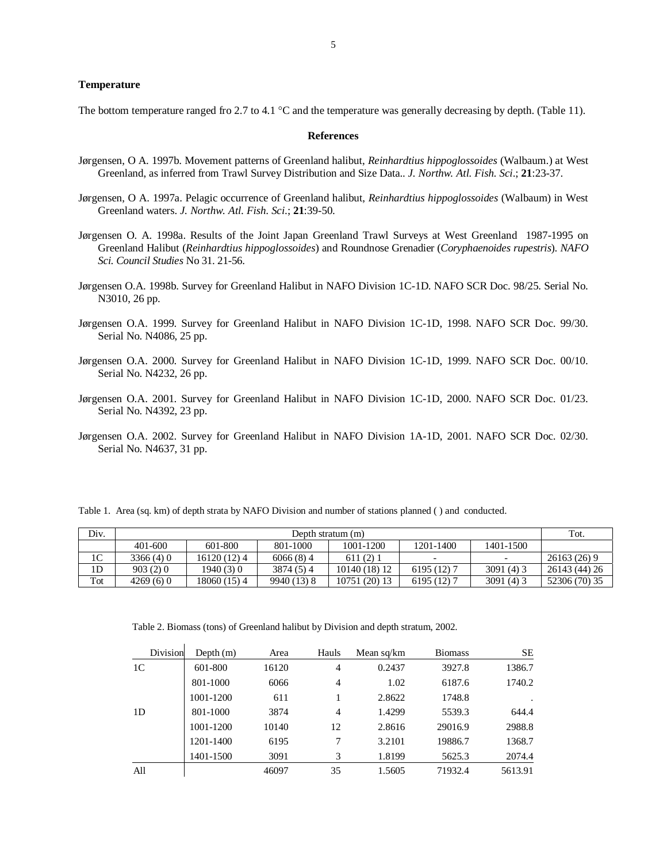#### **Temperature**

The bottom temperature ranged fro 2.7 to 4.1 °C and the temperature was generally decreasing by depth. (Table 11).

#### **References**

- Jørgensen, O A. 1997b. Movement patterns of Greenland halibut, *Reinhardtius hippoglossoides* (Walbaum.) at West Greenland, as inferred from Trawl Survey Distribution and Size Data.. *J. Northw. Atl. Fish. Sci*.; **21**:23-37.
- Jørgensen, O A. 1997a. Pelagic occurrence of Greenland halibut, *Reinhardtius hippoglossoides* (Walbaum) in West Greenland waters. *J. Northw. Atl. Fish. Sci*.; **21**:39-50.
- Jørgensen O. A. 1998a. Results of the Joint Japan Greenland Trawl Surveys at West Greenland 1987-1995 on Greenland Halibut (*Reinhardtius hippoglossoides*) and Roundnose Grenadier (*Coryphaenoides rupestris*). *NAFO Sci. Council Studies* No 31. 21-56.
- Jørgensen O.A. 1998b. Survey for Greenland Halibut in NAFO Division 1C-1D. NAFO SCR Doc. 98/25. Serial No. N3010, 26 pp.
- Jørgensen O.A. 1999. Survey for Greenland Halibut in NAFO Division 1C-1D, 1998. NAFO SCR Doc. 99/30. Serial No. N4086, 25 pp.
- Jørgensen O.A. 2000. Survey for Greenland Halibut in NAFO Division 1C-1D, 1999. NAFO SCR Doc. 00/10. Serial No. N4232, 26 pp.
- Jørgensen O.A. 2001. Survey for Greenland Halibut in NAFO Division 1C-1D, 2000. NAFO SCR Doc. 01/23. Serial No. N4392, 23 pp.
- Jørgensen O.A. 2002. Survey for Greenland Halibut in NAFO Division 1A-1D, 2001. NAFO SCR Doc. 02/30. Serial No. N4637, 31 pp.

Table 1. Area (sq. km) of depth strata by NAFO Division and number of stations planned ( ) and conducted.

| Div.           |          | Depth stratum (m) |             |               |             |           |               |  |  |
|----------------|----------|-------------------|-------------|---------------|-------------|-----------|---------------|--|--|
|                | 401-600  | 601-800           | 801-1000    | 1001-1200     | 1201-1400   | 1401-1500 |               |  |  |
| 1 <sup>C</sup> | 3366(4)0 | 16120(12)4        | 6066(8)4    | 611(2)1       |             |           | 26163 (26) 9  |  |  |
| 1 <sub>D</sub> | 903(2)0  | 1940(3)0          | 3874 (5) 4  | 10140 (18) 12 | 6195 (12) 7 | 3091(4)3  | 26143 (44) 26 |  |  |
| Tot            | 4269(6)0 | 18060 (15) 4      | 9940 (13) 8 | 10751 (20) 13 | 6195 (12) 7 | 3091(4)3  | 52306 (70) 35 |  |  |

Table 2. Biomass (tons) of Greenland halibut by Division and depth stratum, 2002.

| Division | Depth $(m)$ | Area  | Hauls          | Mean sq/km | <b>Biomass</b> | SE      |
|----------|-------------|-------|----------------|------------|----------------|---------|
| 1C       | 601-800     | 16120 | 4              | 0.2437     | 3927.8         | 1386.7  |
|          | 801-1000    | 6066  | $\overline{4}$ | 1.02       | 6187.6         | 1740.2  |
|          | 1001-1200   | 611   | 1              | 2.8622     | 1748.8         |         |
| 1D       | 801-1000    | 3874  | $\overline{4}$ | 1.4299     | 5539.3         | 644.4   |
|          | 1001-1200   | 10140 | 12             | 2.8616     | 29016.9        | 2988.8  |
|          | 1201-1400   | 6195  | 7              | 3.2101     | 19886.7        | 1368.7  |
|          | 1401-1500   | 3091  | 3              | 1.8199     | 5625.3         | 2074.4  |
| All      |             | 46097 | 35             | 1.5605     | 71932.4        | 5613.91 |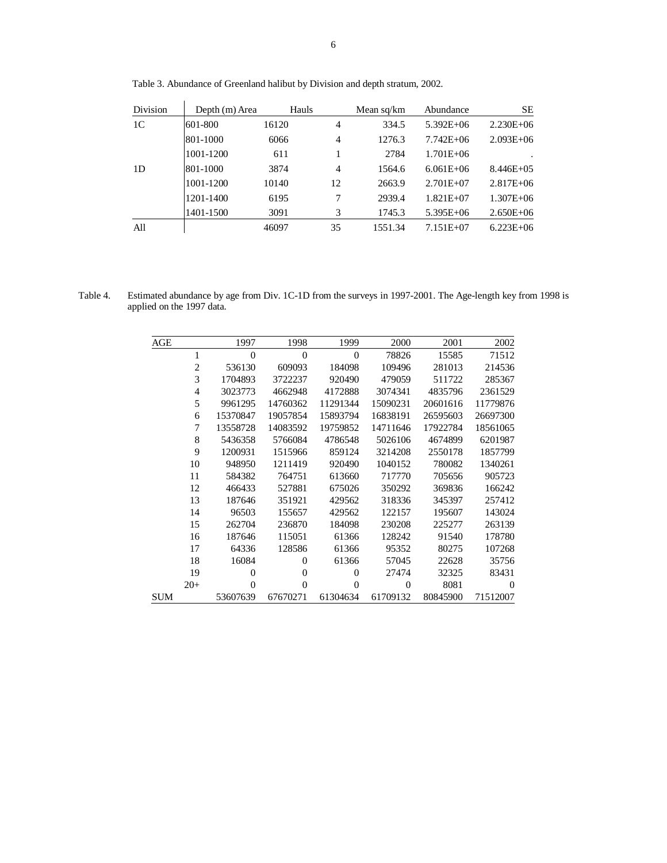| <b>Division</b> | Depth (m) Area | Hauls |                | Mean sq/km | Abundance     | <b>SE</b>     |
|-----------------|----------------|-------|----------------|------------|---------------|---------------|
| 1 <sup>C</sup>  | 601-800        | 16120 | 4              | 334.5      | $5.392E + 06$ | $2.230E + 06$ |
|                 | 801-1000       | 6066  | 4              | 1276.3     | $7.742E + 06$ | $2.093E + 06$ |
|                 | 1001-1200      | 611   |                | 2784       | $1.701E + 06$ |               |
| 1D              | 801-1000       | 3874  | $\overline{4}$ | 1564.6     | $6.061E + 06$ | $8.446E + 05$ |
|                 | 1001-1200      | 10140 | 12             | 2663.9     | $2.701E + 07$ | $2.817E + 06$ |
|                 | 1201-1400      | 6195  | 7              | 2939.4     | $1.821E + 07$ | $1.307E + 06$ |
|                 | 1401-1500      | 3091  | 3              | 1745.3     | $5.395E + 06$ | $2.650E + 06$ |
| All             |                | 46097 | 35             | 1551.34    | $7.151E + 07$ | $6.223E + 06$ |

Table 3. Abundance of Greenland halibut by Division and depth stratum, 2002.

Table 4. Estimated abundance by age from Div. 1C-1D from the surveys in 1997-2001. The Age-length key from 1998 is applied on the 1997 data.

| AGE        |                | 1997           | 1998           | 1999             | 2000     | 2001     | 2002     |
|------------|----------------|----------------|----------------|------------------|----------|----------|----------|
|            | 1              | $\overline{0}$ | $\overline{0}$ | $\theta$         | 78826    | 15585    | 71512    |
|            | $\overline{c}$ | 536130         | 609093         | 184098           | 109496   | 281013   | 214536   |
|            | 3              | 1704893        | 3722237        | 920490           | 479059   | 511722   | 285367   |
|            | $\overline{4}$ | 3023773        | 4662948        | 4172888          | 3074341  | 4835796  | 2361529  |
|            | 5              | 9961295        | 14760362       | 11291344         | 15090231 | 20601616 | 11779876 |
|            | 6              | 15370847       | 19057854       | 15893794         | 16838191 | 26595603 | 26697300 |
|            | 7              | 13558728       | 14083592       | 19759852         | 14711646 | 17922784 | 18561065 |
|            | 8              | 5436358        | 5766084        | 4786548          | 5026106  | 4674899  | 6201987  |
|            | 9              | 1200931        | 1515966        | 859124           | 3214208  | 2550178  | 1857799  |
|            | 10             | 948950         | 1211419        | 920490           | 1040152  | 780082   | 1340261  |
|            | 11             | 584382         | 764751         | 613660           | 717770   | 705656   | 905723   |
|            | 12             | 466433         | 527881         | 675026           | 350292   | 369836   | 166242   |
|            | 13             | 187646         | 351921         | 429562           | 318336   | 345397   | 257412   |
|            | 14             | 96503          | 155657         | 429562           | 122157   | 195607   | 143024   |
|            | 15             | 262704         | 236870         | 184098           | 230208   | 225277   | 263139   |
|            | 16             | 187646         | 115051         | 61366            | 128242   | 91540    | 178780   |
|            | 17             | 64336          | 128586         | 61366            | 95352    | 80275    | 107268   |
|            | 18             | 16084          | 0              | 61366            | 57045    | 22628    | 35756    |
|            | 19             | $\overline{0}$ | $\overline{0}$ | $\boldsymbol{0}$ | 27474    | 32325    | 83431    |
|            | $20+$          | $\overline{0}$ | $\overline{0}$ | $\theta$         | $\theta$ | 8081     | $\theta$ |
| <b>SUM</b> |                | 53607639       | 67670271       | 61304634         | 61709132 | 80845900 | 71512007 |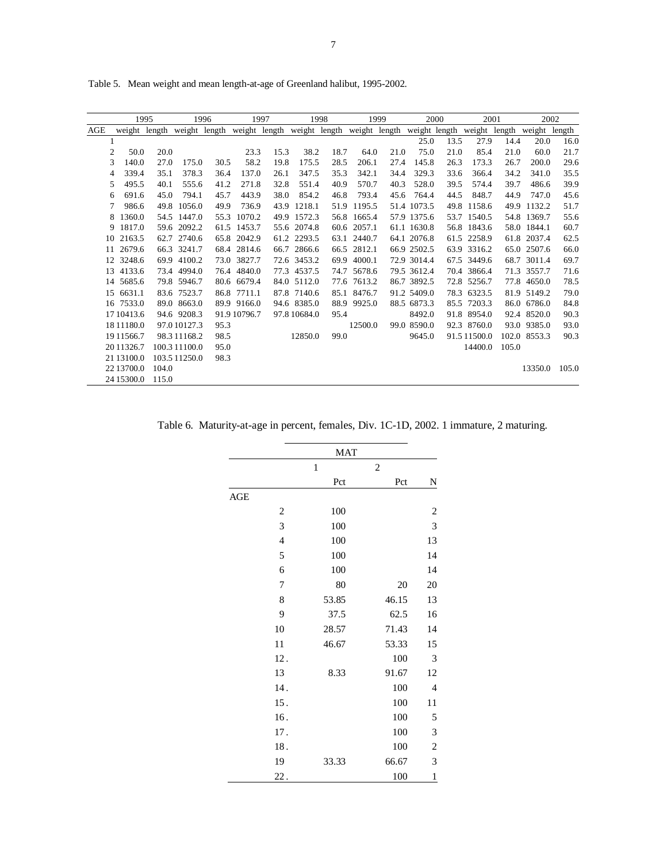|                |               | 1995  | 1996          |               | 1997         |      | 1998                        |      | 1999          |      | 2000          |      | 2001         | 2002   |               |       |
|----------------|---------------|-------|---------------|---------------|--------------|------|-----------------------------|------|---------------|------|---------------|------|--------------|--------|---------------|-------|
| AGE            | weight length |       |               | weight length |              |      | weight length weight length |      | weight length |      | weight length |      | weight       | length | weight length |       |
| 1              |               |       |               |               |              |      |                             |      |               |      | 25.0          | 13.5 | 27.9         | 14.4   | 20.0          | 16.0  |
| 2              | 50.0          | 20.0  |               |               | 23.3         | 15.3 | 38.2                        | 18.7 | 64.0          | 21.0 | 75.0          | 21.0 | 85.4         | 21.0   | 60.0          | 21.7  |
| 3              | 140.0         | 27.0  | 175.0         | 30.5          | 58.2         | 19.8 | 175.5                       | 28.5 | 206.1         | 27.4 | 145.8         | 26.3 | 173.3        | 26.7   | 200.0         | 29.6  |
| $\overline{4}$ | 339.4         | 35.1  | 378.3         | 36.4          | 137.0        | 26.1 | 347.5                       | 35.3 | 342.1         | 34.4 | 329.3         | 33.6 | 366.4        | 34.2   | 341.0         | 35.5  |
| 5              | 495.5         | 40.1  | 555.6         | 41.2          | 271.8        | 32.8 | 551.4                       | 40.9 | 570.7         | 40.3 | 528.0         | 39.5 | 574.4        | 39.7   | 486.6         | 39.9  |
| 6              | 691.6         | 45.0  | 794.1         | 45.7          | 443.9        | 38.0 | 854.2                       | 46.8 | 793.4         | 45.6 | 764.4         | 44.5 | 848.7        | 44.9   | 747.0         | 45.6  |
| 7              | 986.6         | 49.8  | 1056.0        | 49.9          | 736.9        | 43.9 | 1218.1                      | 51.9 | 1195.5        |      | 51.4 1073.5   | 49.8 | 1158.6       | 49.9   | 1132.2        | 51.7  |
| 8              | 1360.0        |       | 54.5 1447.0   | 55.3          | 1070.2       |      | 49.9 1572.3                 | 56.8 | 1665.4        |      | 57.9 1375.6   |      | 53.7 1540.5  |        | 54.8 1369.7   | 55.6  |
| 9              | 1817.0        |       | 59.6 2092.2   |               | 61.5 1453.7  |      | 55.6 2074.8                 | 60.6 | 2057.1        |      | 61.1 1630.8   |      | 56.8 1843.6  |        | 58.0 1844.1   | 60.7  |
| 10             | 2163.5        |       | 62.7 2740.6   |               | 65.8 2042.9  |      | 61.2 2293.5                 |      | 63.1 2440.7   |      | 64.1 2076.8   |      | 61.5 2258.9  |        | 61.8 2037.4   | 62.5  |
| 11             | 2679.6        |       | 66.3 3241.7   |               | 68.4 2814.6  | 66.7 | 2866.6                      | 66.5 | 2812.1        |      | 66.9 2502.5   |      | 63.9 3316.2  |        | 65.0 2507.6   | 66.0  |
|                | 12 3248.6     |       | 69.9 4100.2   |               | 73.0 3827.7  |      | 72.6 3453.2                 | 69.9 | 4000.1        |      | 72.9 3014.4   |      | 67.5 3449.6  |        | 68.7 3011.4   | 69.7  |
| 13             | 4133.6        |       | 73.4 4994.0   |               | 76.4 4840.0  |      | 77.3 4537.5                 |      | 74.7 5678.6   |      | 79.5 3612.4   |      | 70.4 3866.4  |        | 71.3 3557.7   | 71.6  |
| 14             | 5685.6        |       | 79.8 5946.7   |               | 80.6 6679.4  |      | 84.0 5112.0                 |      | 77.6 7613.2   |      | 86.7 3892.5   |      | 72.8 5256.7  |        | 77.8 4650.0   | 78.5  |
| 15             | 6631.1        |       | 83.6 7523.7   |               | 86.8 7711.1  |      | 87.8 7140.6                 | 85.1 | 8476.7        |      | 91.2 5409.0   |      | 78.3 6323.5  |        | 81.9 5149.2   | 79.0  |
|                | 16 7533.0     |       | 89.0 8663.0   |               | 89.9 9166.0  |      | 94.6 8385.0                 | 88.9 | 9925.0        |      | 88.5 6873.3   |      | 85.5 7203.3  |        | 86.0 6786.0   | 84.8  |
|                | 17 10413.6    |       | 94.6 9208.3   |               | 91.9 10796.7 |      | 97.8 10684.0                | 95.4 |               |      | 8492.0        |      | 91.8 8954.0  |        | 92.4 8520.0   | 90.3  |
|                | 18 11 18 0.0  |       | 97.010127.3   | 95.3          |              |      |                             |      | 12500.0       |      | 99.0 8590.0   |      | 92.3 8760.0  |        | 93.0 9385.0   | 93.0  |
|                | 19 11 566.7   |       | 98.311168.2   | 98.5          |              |      | 12850.0                     | 99.0 |               |      | 9645.0        |      | 91.5 11500.0 |        | 102.0 8553.3  | 90.3  |
|                | 2011326.7     |       | 100.3 11100.0 | 95.0          |              |      |                             |      |               |      |               |      | 14400.0      | 105.0  |               |       |
|                | 21 13100.0    |       | 103.5 11250.0 | 98.3          |              |      |                             |      |               |      |               |      |              |        |               |       |
|                | 22 13700.0    | 104.0 |               |               |              |      |                             |      |               |      |               |      |              |        | 13350.0       | 105.0 |
|                | 24 15300.0    | 115.0 |               |               |              |      |                             |      |               |      |               |      |              |        |               |       |

Table 5. Mean weight and mean length-at-age of Greenland halibut, 1995-2002.

Table 6. Maturity-at-age in percent, females, Div. 1C-1D, 2002. 1 immature, 2 maturing.

|     |                | MAT          |                |                         |
|-----|----------------|--------------|----------------|-------------------------|
|     |                | $\mathbf{1}$ | $\overline{c}$ |                         |
|     |                | Pct          | Pct            | N                       |
| AGE |                |              |                |                         |
|     | $\sqrt{2}$     | 100          |                | $\overline{c}$          |
|     | 3              | 100          |                | 3                       |
|     | $\overline{4}$ | 100          |                | 13                      |
|     | 5              | 100          |                | 14                      |
|     | 6              | 100          |                | 14                      |
|     | 7              | 80           | 20             | 20                      |
|     | 8              | 53.85        | 46.15          | 13                      |
|     | 9              | 37.5         | 62.5           | 16                      |
|     | 10             | 28.57        | 71.43          | 14                      |
|     | 11             | 46.67        | 53.33          | 15                      |
|     | 12.            |              | 100            | 3                       |
|     | 13             | 8.33         | 91.67          | 12                      |
|     | 14.            |              | 100            | $\overline{4}$          |
|     | 15.            |              | 100            | 11                      |
|     | 16.            |              | 100            | 5                       |
|     | 17.            |              | 100            | 3                       |
|     | 18.            |              | 100            | $\overline{\mathbf{c}}$ |
|     | 19             | 33.33        | 66.67          | 3                       |
|     | 22.            |              | 100            | $\,1$                   |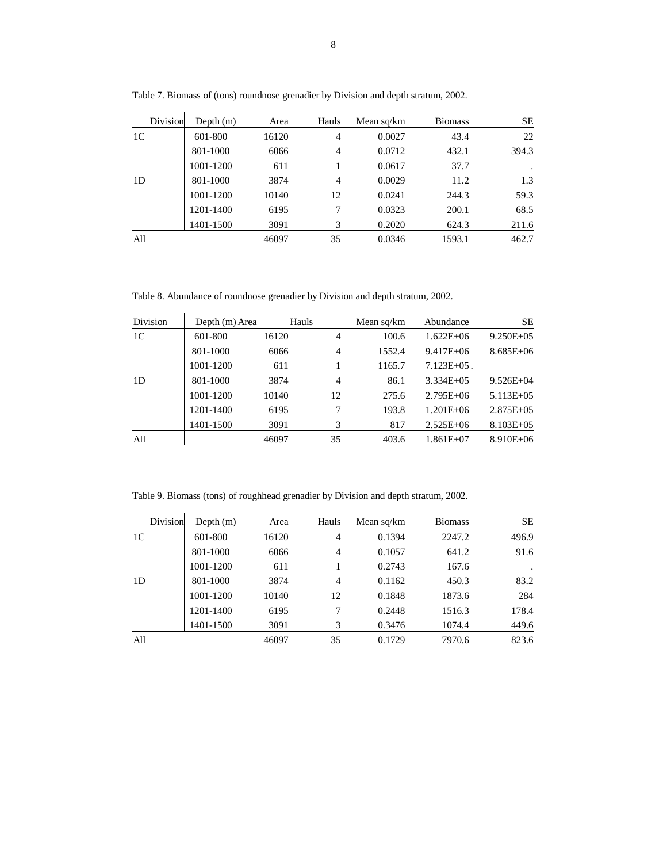| Division       | Depth $(m)$ | Area  | Hauls | Mean sq/km | <b>Biomass</b> | <b>SE</b> |
|----------------|-------------|-------|-------|------------|----------------|-----------|
| 1 <sup>C</sup> | 601-800     | 16120 | 4     | 0.0027     | 43.4           | 22        |
|                | 801-1000    | 6066  | 4     | 0.0712     | 432.1          | 394.3     |
|                | 1001-1200   | 611   | 1     | 0.0617     | 37.7           |           |
| 1D             | 801-1000    | 3874  | 4     | 0.0029     | 11.2           | 1.3       |
|                | 1001-1200   | 10140 | 12    | 0.0241     | 244.3          | 59.3      |
|                | 1201-1400   | 6195  | 7     | 0.0323     | 200.1          | 68.5      |
|                | 1401-1500   | 3091  | 3     | 0.2020     | 624.3          | 211.6     |
| All            |             | 46097 | 35    | 0.0346     | 1593.1         | 462.7     |

Table 7. Biomass of (tons) roundnose grenadier by Division and depth stratum, 2002.

Table 8. Abundance of roundnose grenadier by Division and depth stratum, 2002.

| <b>Division</b> | Depth (m) Area | Hauls |    | Mean sq/km | Abundance        | <b>SE</b>      |
|-----------------|----------------|-------|----|------------|------------------|----------------|
| 1 <sup>C</sup>  | 601-800        | 16120 | 4  | 100.6      | $1.622E + 06$    | $9.250E + 05$  |
|                 | 801-1000       | 6066  | 4  | 1552.4     | $9.417E + 06$    | $8.685E + 06$  |
|                 | 1001-1200      | 611   |    | 1165.7     | $7.123E + 0.5$ . |                |
| 1D              | 801-1000       | 3874  | 4  | 86.1       | $3.334E + 0.5$   | $9.526E + 04$  |
|                 | 1001-1200      | 10140 | 12 | 275.6      | $2.795E + 06$    | $5.113E + 05$  |
|                 | 1201-1400      | 6195  | 7  | 193.8      | $1.201E + 06$    | $2.875E + 0.5$ |
|                 | 1401-1500      | 3091  | 3  | 817        | $2.525E + 06$    | $8.103E + 05$  |
| All             |                | 46097 | 35 | 403.6      | $1.861E + 07$    | $8.910E + 06$  |

Table 9. Biomass (tons) of roughhead grenadier by Division and depth stratum, 2002.

| Division       | Depth $(m)$ | Area  | Hauls          | Mean sq/km | <b>Biomass</b> | <b>SE</b> |
|----------------|-------------|-------|----------------|------------|----------------|-----------|
| 1 <sup>C</sup> | 601-800     | 16120 | 4              | 0.1394     | 2247.2         | 496.9     |
|                | 801-1000    | 6066  | $\overline{4}$ | 0.1057     | 641.2          | 91.6      |
|                | 1001-1200   | 611   |                | 0.2743     | 167.6          | $\cdot$   |
| 1D             | 801-1000    | 3874  | $\overline{4}$ | 0.1162     | 450.3          | 83.2      |
|                | 1001-1200   | 10140 | 12             | 0.1848     | 1873.6         | 284       |
|                | 1201-1400   | 6195  | 7              | 0.2448     | 1516.3         | 178.4     |
|                | 1401-1500   | 3091  | 3              | 0.3476     | 1074.4         | 449.6     |
| All            |             | 46097 | 35             | 0.1729     | 7970.6         | 823.6     |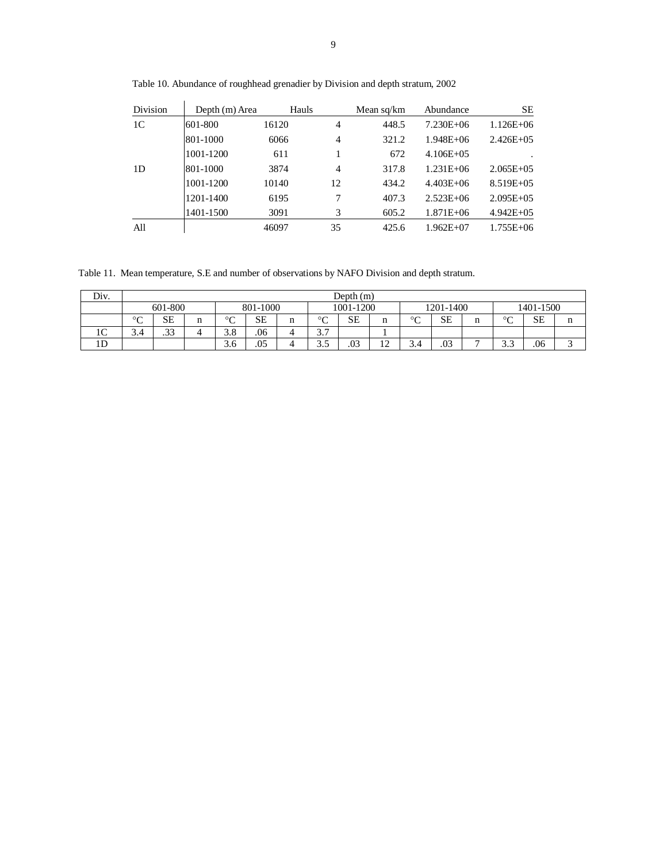| <b>Division</b> | Depth (m) Area | Hauls |    | Mean sq/km | Abundance     | <b>SE</b>      |
|-----------------|----------------|-------|----|------------|---------------|----------------|
| 1C              | 601-800        | 16120 | 4  | 448.5      | $7.230E + 06$ | $1.126E + 06$  |
|                 | 801-1000       | 6066  | 4  | 321.2      | $1.948E + 06$ | $2.426E + 05$  |
|                 | 1001-1200      | 611   |    | 672        | $4.106E + 05$ |                |
| 1D              | 801-1000       | 3874  | 4  | 317.8      | $1.231E + 06$ | $2.065E + 0.5$ |
|                 | 1001-1200      | 10140 | 12 | 434.2      | $4.403E + 06$ | $8.519E + 05$  |
|                 | 1201-1400      | 6195  | 7  | 407.3      | $2.523E + 06$ | $2.095E + 05$  |
|                 | 1401-1500      | 3091  | 3  | 605.2      | $1.871E + 06$ | $4.942E + 05$  |
| All             |                | 46097 | 35 | 425.6      | $1.962E + 07$ | $1.755E + 06$  |

Table 10. Abundance of roughhead grenadier by Division and depth stratum, 2002

Table 11. Mean temperature, S.E and number of observations by NAFO Division and depth stratum.

| Div.         | Depth $(m)$  |                     |   |             |           |   |                    |           |              |              |     |   |             |           |   |
|--------------|--------------|---------------------|---|-------------|-----------|---|--------------------|-----------|--------------|--------------|-----|---|-------------|-----------|---|
|              |              | 601-800<br>801-1000 |   |             |           |   | 1001-1200          |           |              | 1201-1400    |     |   | 1401-1500   |           |   |
|              | $\circ$<br>◡ | <b>SE</b>           | n | $\sim$<br>◡ | <b>SE</b> | n | $\sim$<br>◡        | <b>SE</b> | n            | $\circ$<br>◡ | SЕ  | п | $\sim$<br>◡ | <b>SE</b> | п |
| $\sim$<br>TC | ٥.٩          | $\Omega$<br>.33     |   | 3.8         | .06       |   | $\sim$ $\sim$<br>، |           |              |              |     |   |             |           |   |
| 1D           |              |                     |   | 3.6         | .05       |   | -<br>ر.ر           | .03       | $\sim$<br>-- | J.4          | .03 | - | ر. ر        | .06       |   |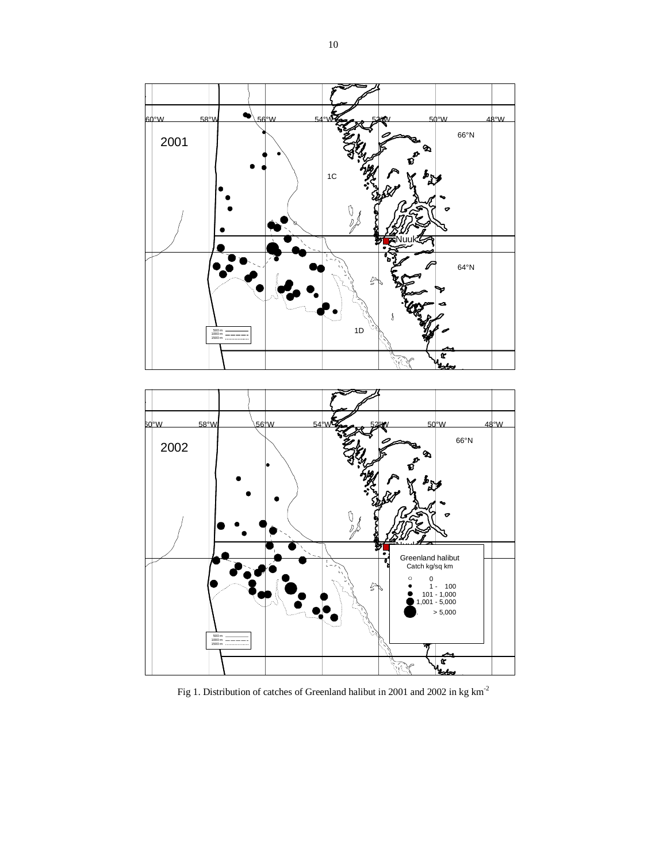

Fig 1. Distribution of catches of Greenland halibut in 2001 and 2002 in kg  $\mathrm{km}^{\text{-}2}$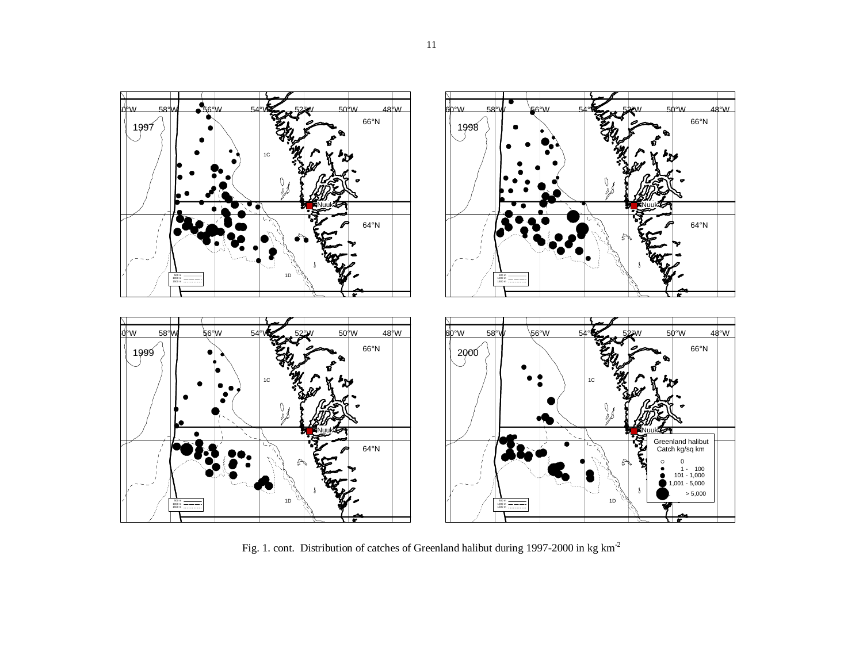

Fig. 1. cont. Distribution of catches of Greenland halibut during 1997-2000 in kg km-<sup>2</sup>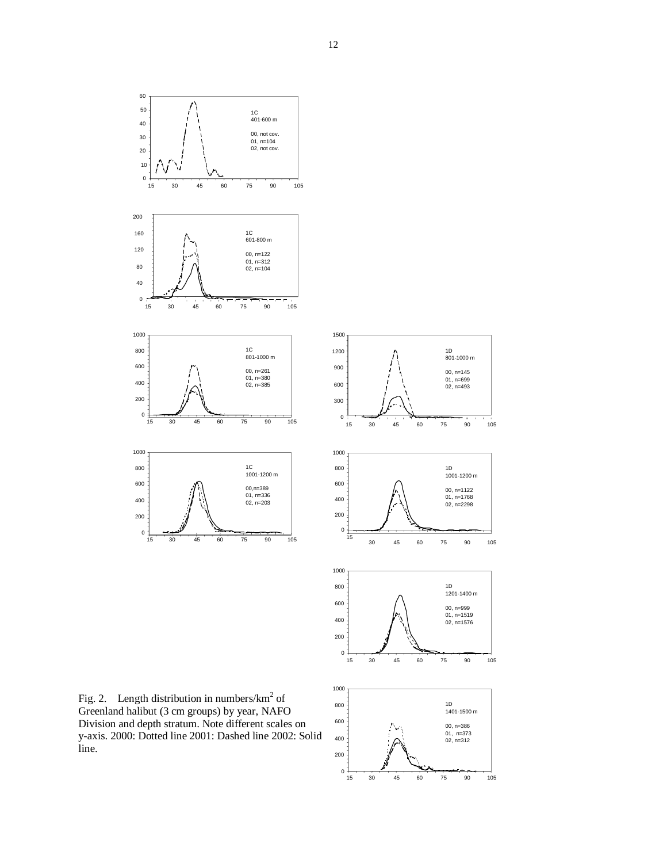



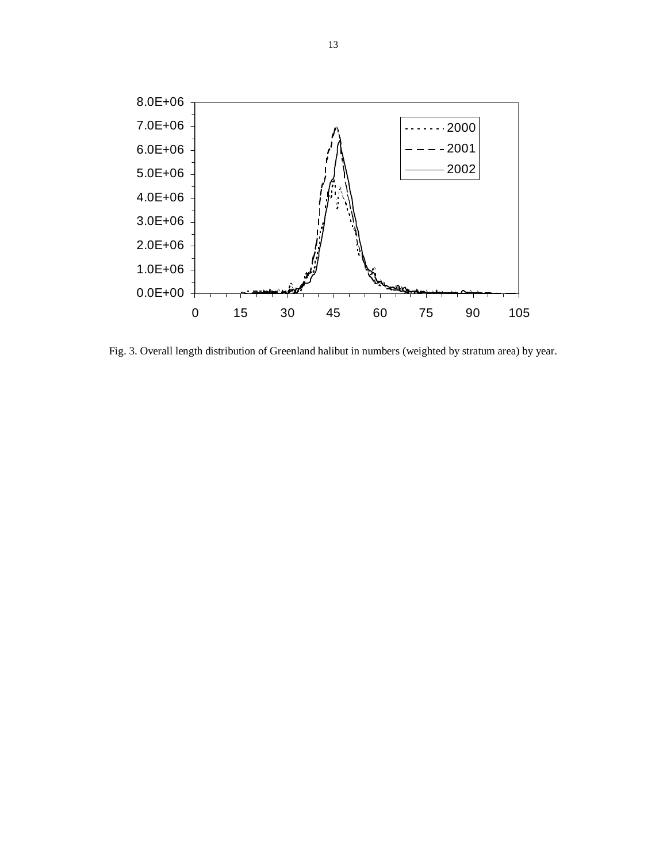

Fig. 3. Overall length distribution of Greenland halibut in numbers (weighted by stratum area) by year.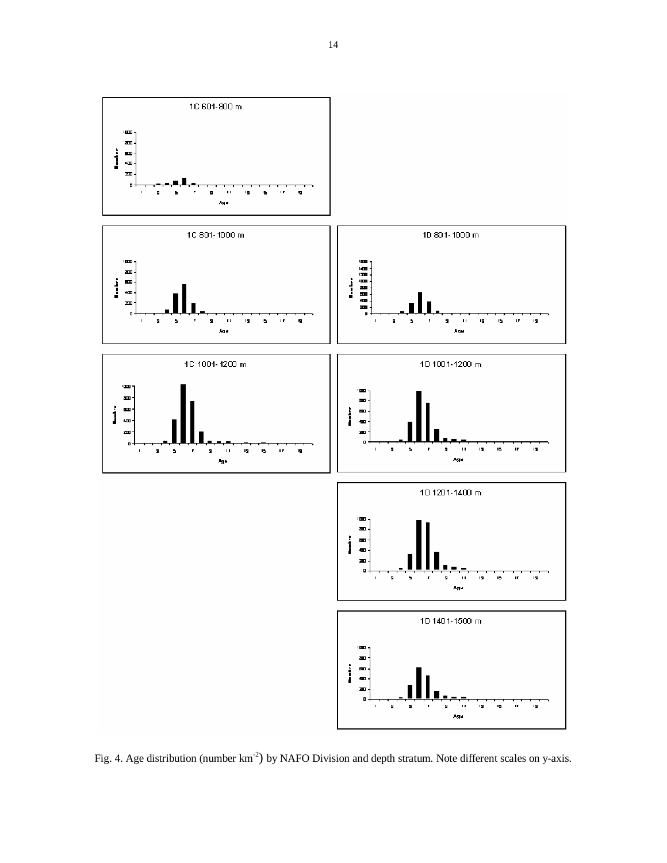

Fig. 4. Age distribution (number km<sup>-2</sup>) by NAFO Division and depth stratum. Note different scales on y-axis.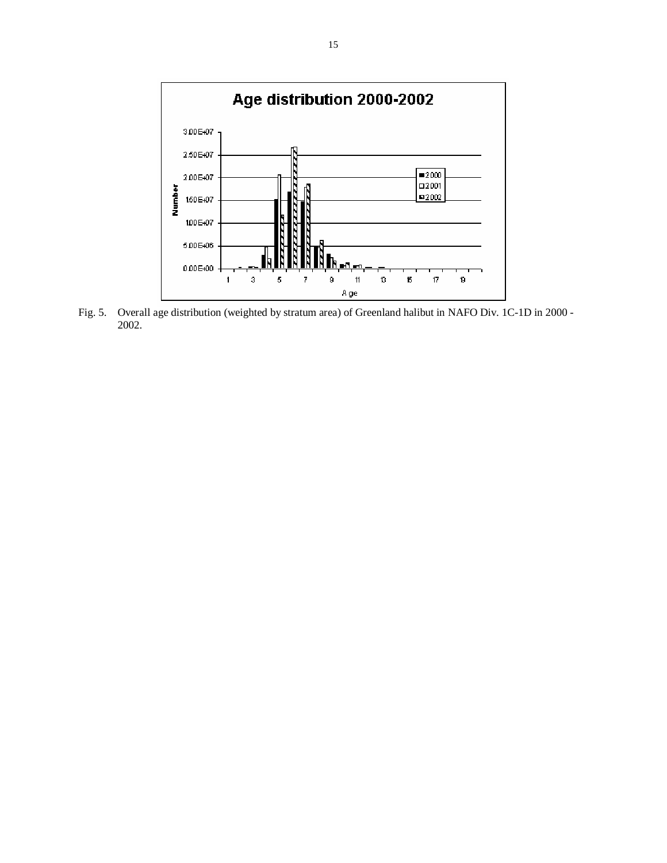

Fig. 5. Overall age distribution (weighted by stratum area) of Greenland halibut in NAFO Div. 1C-1D in 2000 - 2002.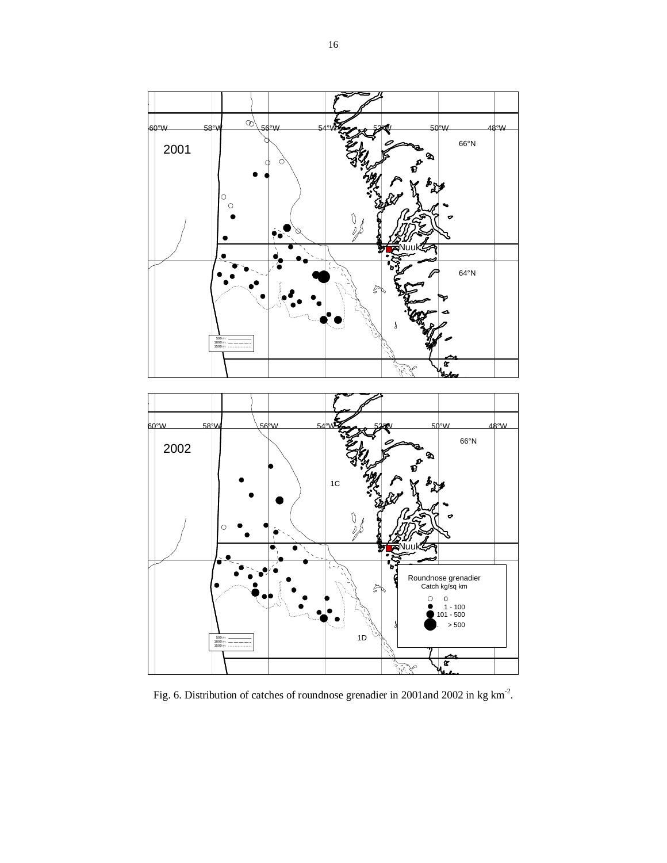

Fig. 6. Distribution of catches of roundnose grenadier in 2001and 2002 in kg km-2.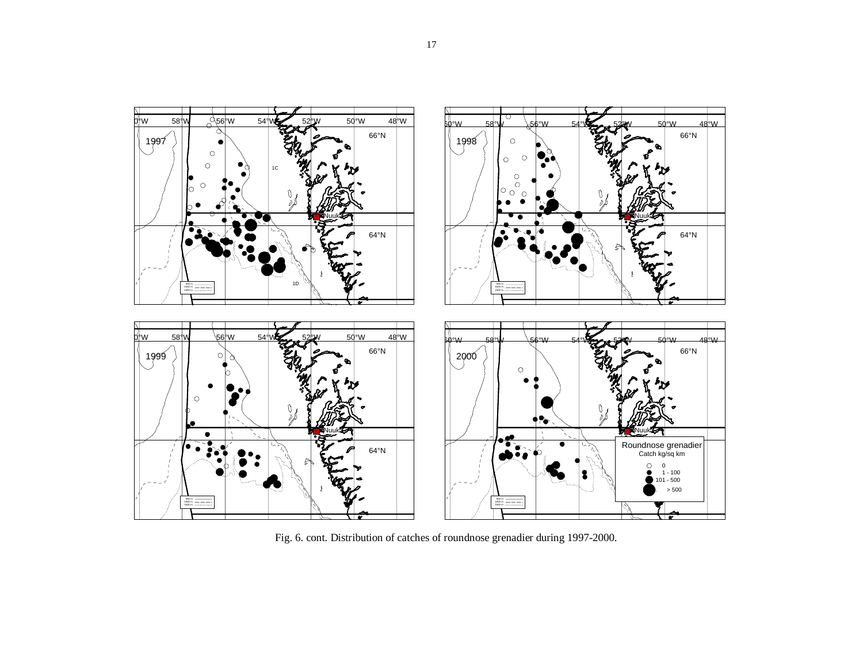

Fig. 6. cont. Distribution of catches of roundnose grenadier during 1997-2000.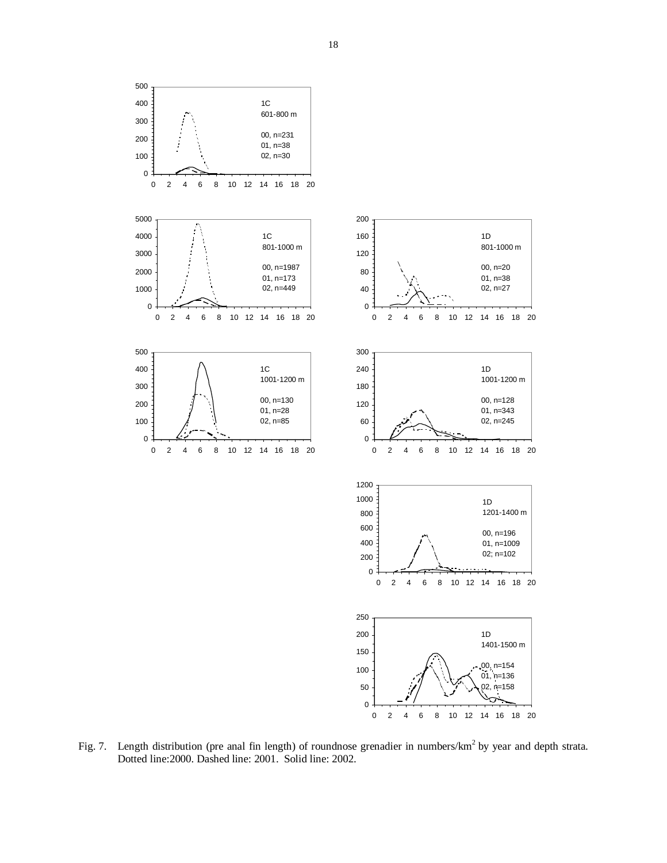

Fig. 7. Length distribution (pre anal fin length) of roundnose grenadier in numbers/km<sup>2</sup> by year and depth strata. Dotted line:2000. Dashed line: 2001. Solid line: 2002.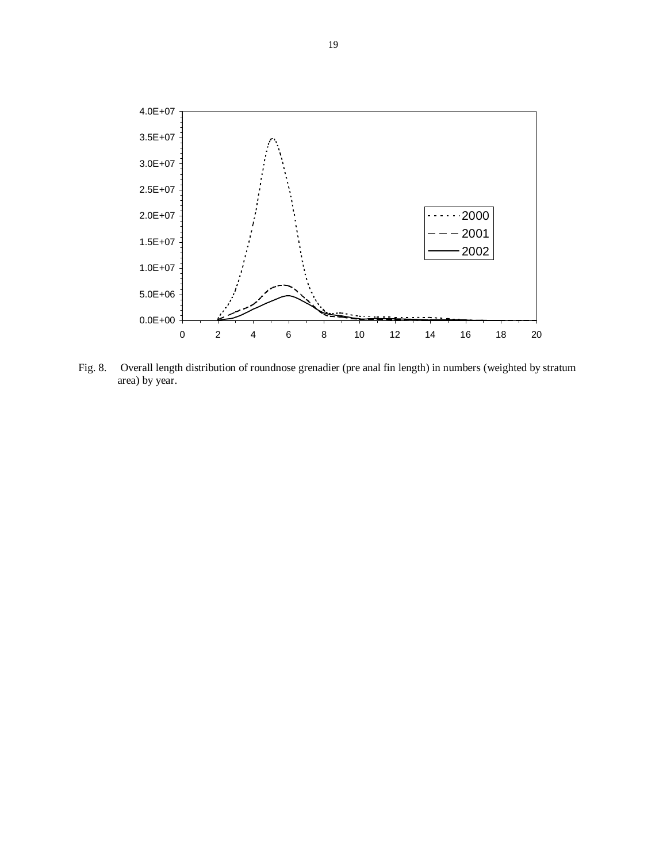

Fig. 8. Overall length distribution of roundnose grenadier (pre anal fin length) in numbers (weighted by stratum area) by year.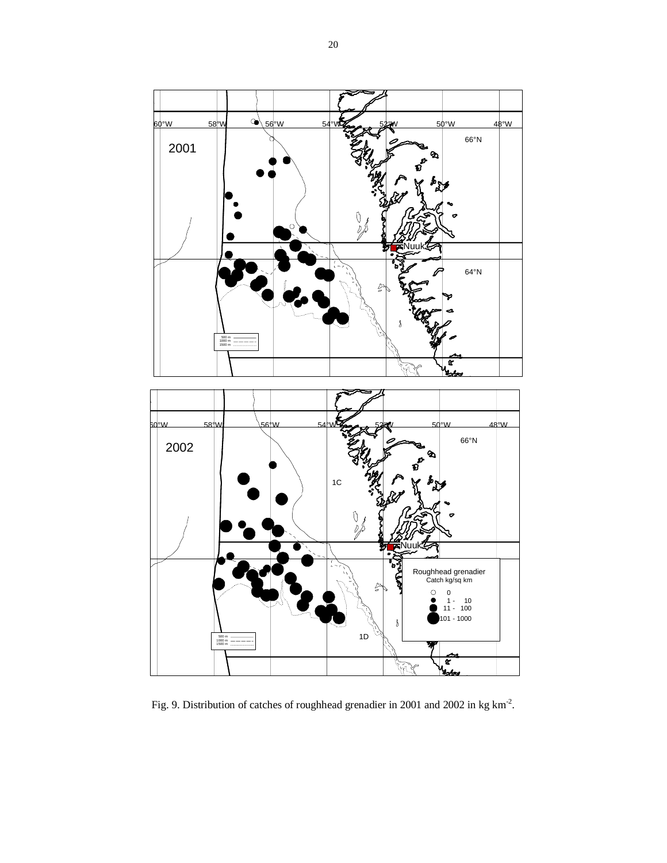

Fig. 9. Distribution of catches of roughhead grenadier in 2001 and 2002 in kg km-2.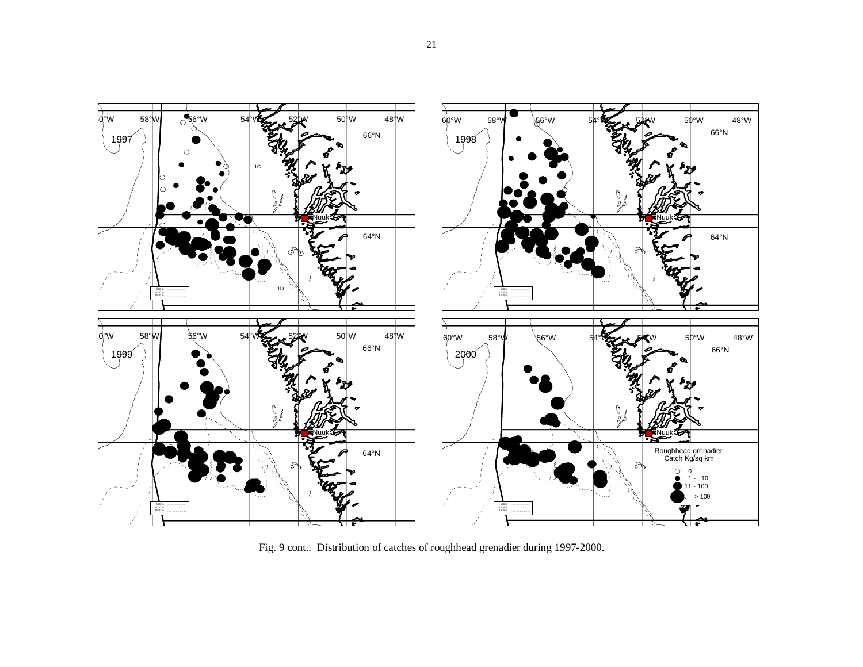

Fig. 9 cont.. Distribution of catches of roughhead grenadier during 1997-2000.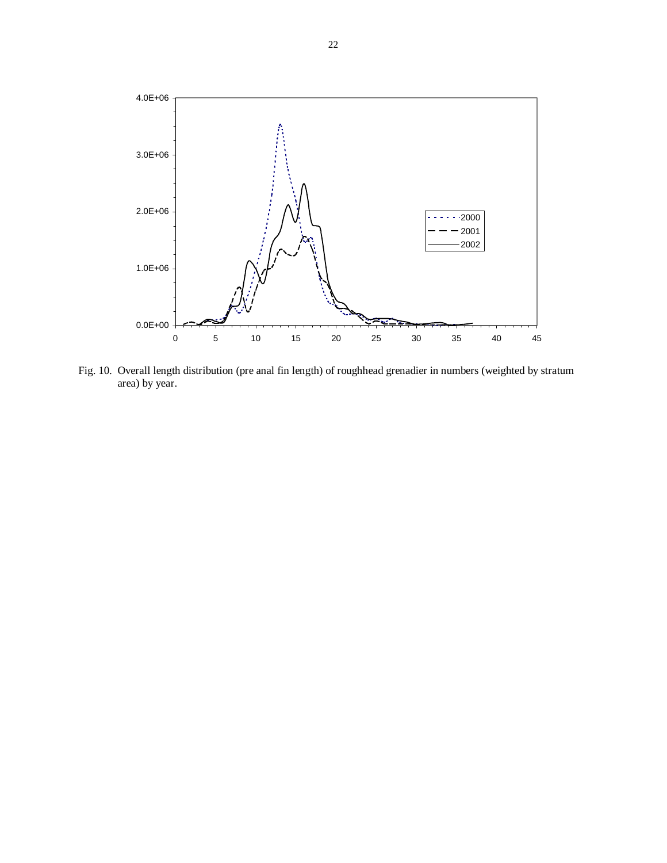

Fig. 10. Overall length distribution (pre anal fin length) of roughhead grenadier in numbers (weighted by stratum area) by year.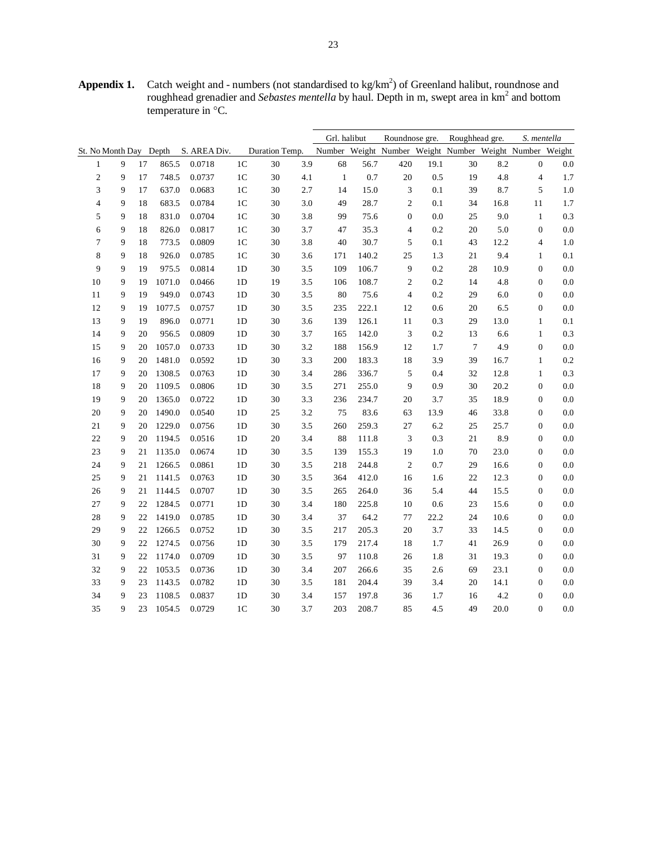**Appendix 1.** Catch weight and - numbers (not standardised to  $kg/km<sup>2</sup>$ ) of Greenland halibut, roundnose and roughhead grenadier and *Sebastes mentella* by haul. Depth in m, swept area in km<sup>2</sup> and bottom temperature in °C.

|        |                        |    |        |              |                |                |     | Grl. halibut |       | Roundnose gre.   |      | Roughhead gre.                                          |      | S. mentella      |         |
|--------|------------------------|----|--------|--------------|----------------|----------------|-----|--------------|-------|------------------|------|---------------------------------------------------------|------|------------------|---------|
|        | St. No Month Day Depth |    |        | S. AREA Div. |                | Duration Temp. |     |              |       |                  |      | Number Weight Number Weight Number Weight Number Weight |      |                  |         |
| 1      | 9                      | 17 | 865.5  | 0.0718       | 1 <sup>C</sup> | 30             | 3.9 | 68           | 56.7  | 420              | 19.1 | 30                                                      | 8.2  | $\mathbf{0}$     | 0.0     |
| 2      | 9                      | 17 | 748.5  | 0.0737       | 1 <sup>C</sup> | 30             | 4.1 | $\mathbf{1}$ | 0.7   | 20               | 0.5  | 19                                                      | 4.8  | $\overline{4}$   | 1.7     |
| 3      | 9                      | 17 | 637.0  | 0.0683       | 1 <sup>C</sup> | 30             | 2.7 | 14           | 15.0  | 3                | 0.1  | 39                                                      | 8.7  | 5                | $1.0\,$ |
| 4      | 9                      | 18 | 683.5  | 0.0784       | 1 <sup>C</sup> | 30             | 3.0 | 49           | 28.7  | $\boldsymbol{2}$ | 0.1  | 34                                                      | 16.8 | 11               | 1.7     |
| 5      | 9                      | 18 | 831.0  | 0.0704       | 1 <sup>C</sup> | 30             | 3.8 | 99           | 75.6  | $\boldsymbol{0}$ | 0.0  | 25                                                      | 9.0  | $\mathbf{1}$     | 0.3     |
| 6      | 9                      | 18 | 826.0  | 0.0817       | 1 <sup>C</sup> | 30             | 3.7 | 47           | 35.3  | $\overline{4}$   | 0.2  | 20                                                      | 5.0  | $\boldsymbol{0}$ | 0.0     |
| 7      | 9                      | 18 | 773.5  | 0.0809       | 1 <sup>C</sup> | 30             | 3.8 | 40           | 30.7  | 5                | 0.1  | 43                                                      | 12.2 | $\overline{4}$   | 1.0     |
| 8      | 9                      | 18 | 926.0  | 0.0785       | 1 <sup>C</sup> | 30             | 3.6 | 171          | 140.2 | 25               | 1.3  | 21                                                      | 9.4  | $\mathbf{1}$     | 0.1     |
| 9      | 9                      | 19 | 975.5  | 0.0814       | 1 <sub>D</sub> | 30             | 3.5 | 109          | 106.7 | 9                | 0.2  | 28                                                      | 10.9 | $\boldsymbol{0}$ | 0.0     |
| 10     | 9                      | 19 | 1071.0 | 0.0466       | 1 <sub>D</sub> | 19             | 3.5 | 106          | 108.7 | $\overline{c}$   | 0.2  | 14                                                      | 4.8  | $\boldsymbol{0}$ | 0.0     |
| 11     | 9                      | 19 | 949.0  | 0.0743       | 1 <sub>D</sub> | 30             | 3.5 | 80           | 75.6  | $\overline{4}$   | 0.2  | 29                                                      | 6.0  | $\mathbf{0}$     | $0.0\,$ |
| 12     | 9                      | 19 | 1077.5 | 0.0757       | 1 <sub>D</sub> | 30             | 3.5 | 235          | 222.1 | 12               | 0.6  | 20                                                      | 6.5  | $\boldsymbol{0}$ | 0.0     |
| 13     | 9                      | 19 | 896.0  | 0.0771       | 1 <sub>D</sub> | 30             | 3.6 | 139          | 126.1 | 11               | 0.3  | 29                                                      | 13.0 | $\mathbf{1}$     | 0.1     |
| 14     | 9                      | 20 | 956.5  | 0.0809       | 1 <sub>D</sub> | 30             | 3.7 | 165          | 142.0 | 3                | 0.2  | 13                                                      | 6.6  | $\mathbf{1}$     | 0.3     |
| 15     | 9                      | 20 | 1057.0 | 0.0733       | 1 <sub>D</sub> | 30             | 3.2 | 188          | 156.9 | 12               | 1.7  | 7                                                       | 4.9  | $\mathbf{0}$     | 0.0     |
| 16     | 9                      | 20 | 1481.0 | 0.0592       | 1 <sub>D</sub> | 30             | 3.3 | 200          | 183.3 | 18               | 3.9  | 39                                                      | 16.7 | $\mathbf{1}$     | 0.2     |
| 17     | 9                      | 20 | 1308.5 | 0.0763       | 1D             | 30             | 3.4 | 286          | 336.7 | 5                | 0.4  | 32                                                      | 12.8 | 1                | 0.3     |
| 18     | 9                      | 20 | 1109.5 | 0.0806       | 1D             | 30             | 3.5 | 271          | 255.0 | 9                | 0.9  | 30                                                      | 20.2 | $\mathbf{0}$     | 0.0     |
| 19     | 9                      | 20 | 1365.0 | 0.0722       | 1 <sub>D</sub> | 30             | 3.3 | 236          | 234.7 | 20               | 3.7  | 35                                                      | 18.9 | $\mathbf{0}$     | 0.0     |
| 20     | 9                      | 20 | 1490.0 | 0.0540       | 1D             | 25             | 3.2 | 75           | 83.6  | 63               | 13.9 | 46                                                      | 33.8 | $\overline{0}$   | 0.0     |
| 21     | 9                      | 20 | 1229.0 | 0.0756       | 1 <sub>D</sub> | 30             | 3.5 | 260          | 259.3 | 27               | 6.2  | 25                                                      | 25.7 | $\mathbf{0}$     | 0.0     |
| $22\,$ | 9                      | 20 | 1194.5 | 0.0516       | 1 <sub>D</sub> | 20             | 3.4 | 88           | 111.8 | 3                | 0.3  | 21                                                      | 8.9  | $\mathbf{0}$     | 0.0     |
| 23     | 9                      | 21 | 1135.0 | 0.0674       | 1D             | 30             | 3.5 | 139          | 155.3 | 19               | 1.0  | 70                                                      | 23.0 | $\mathbf{0}$     | 0.0     |
| 24     | 9                      | 21 | 1266.5 | 0.0861       | 1 <sub>D</sub> | 30             | 3.5 | 218          | 244.8 | $\overline{2}$   | 0.7  | 29                                                      | 16.6 | $\mathbf{0}$     | 0.0     |
| 25     | 9                      | 21 | 1141.5 | 0.0763       | 1 <sub>D</sub> | 30             | 3.5 | 364          | 412.0 | 16               | 1.6  | 22                                                      | 12.3 | $\mathbf{0}$     | $0.0\,$ |
| 26     | 9                      | 21 | 1144.5 | 0.0707       | 1D             | 30             | 3.5 | 265          | 264.0 | 36               | 5.4  | 44                                                      | 15.5 | $\overline{0}$   | 0.0     |
| 27     | 9                      | 22 | 1284.5 | 0.0771       | 1D             | 30             | 3.4 | 180          | 225.8 | 10               | 0.6  | 23                                                      | 15.6 | $\mathbf{0}$     | 0.0     |
| 28     | 9                      | 22 | 1419.0 | 0.0785       | 1 <sub>D</sub> | 30             | 3.4 | 37           | 64.2  | 77               | 22.2 | 24                                                      | 10.6 | $\mathbf{0}$     | 0.0     |
| 29     | 9                      | 22 | 1266.5 | 0.0752       | 1D             | 30             | 3.5 | 217          | 205.3 | 20               | 3.7  | 33                                                      | 14.5 | $\overline{0}$   | 0.0     |
| 30     | 9                      | 22 | 1274.5 | 0.0756       | 1 <sub>D</sub> | 30             | 3.5 | 179          | 217.4 | 18               | 1.7  | 41                                                      | 26.9 | $\mathbf{0}$     | 0.0     |
| 31     | 9                      | 22 | 1174.0 | 0.0709       | 1D             | 30             | 3.5 | 97           | 110.8 | 26               | 1.8  | 31                                                      | 19.3 | $\mathbf{0}$     | 0.0     |
| 32     | 9                      | 22 | 1053.5 | 0.0736       | 1 <sub>D</sub> | 30             | 3.4 | 207          | 266.6 | 35               | 2.6  | 69                                                      | 23.1 | $\mathbf{0}$     | 0.0     |
| 33     | 9                      | 23 | 1143.5 | 0.0782       | 1 <sub>D</sub> | 30             | 3.5 | 181          | 204.4 | 39               | 3.4  | 20                                                      | 14.1 | $\mathbf{0}$     | 0.0     |
| 34     | 9                      | 23 | 1108.5 | 0.0837       | 1 <sub>D</sub> | 30             | 3.4 | 157          | 197.8 | 36               | 1.7  | 16                                                      | 4.2  | $\boldsymbol{0}$ | 0.0     |
| 35     | 9                      | 23 | 1054.5 | 0.0729       | 1 <sup>C</sup> | 30             | 3.7 | 203          | 208.7 | 85               | 4.5  | 49                                                      | 20.0 | $\mathbf{0}$     | 0.0     |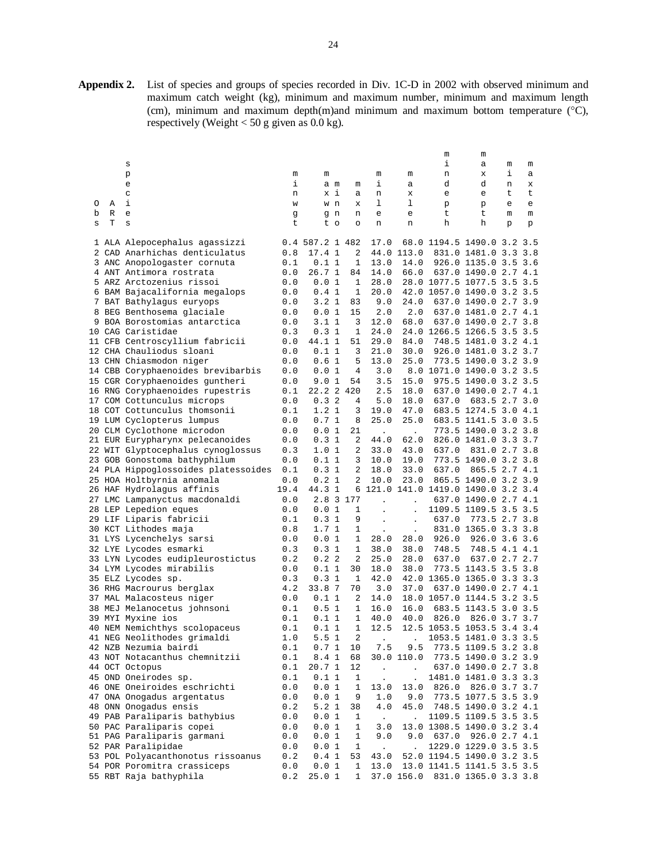**Appendix 2.** List of species and groups of species recorded in Div. 1C-D in 2002 with observed minimum and maximum catch weight (kg), minimum and maximum number, minimum and maximum length (cm), minimum and maximum depth(m)and minimum and maximum bottom temperature (°C), respectively (Weight < 50 g given as  $0.0 \text{ kg}$ ).

|   |   |                                     |      |                 |     |           |                           |                      | m                                   | m                     |   |     |
|---|---|-------------------------------------|------|-----------------|-----|-----------|---------------------------|----------------------|-------------------------------------|-----------------------|---|-----|
|   |   | s                                   |      |                 |     |           |                           |                      | i                                   | а                     | m | m   |
|   |   | р                                   | m    | m               |     |           | m                         | m                    | n                                   | х                     | i | а   |
|   |   | e                                   | i    |                 | a m | m         | i,                        | а                    | d                                   | d                     | n | х   |
|   |   | C                                   | n    |                 | x i | а         | n                         | х                    | e                                   | e                     | t | t   |
| O | Α | i                                   | W    |                 | w n | х         | ı                         | 1                    | p                                   | р                     | e | e   |
| b | R | e                                   | g    |                 | g n | n         | е                         | e                    | t                                   | t                     | m | m   |
| s | Т | S                                   | t    |                 | t o | O         | n                         | n                    | h                                   | h                     | p | p   |
|   |   |                                     |      |                 |     |           |                           |                      |                                     |                       |   |     |
|   |   | 1 ALA Alepocephalus agassizzi       |      | 0.4 587.2 1 482 |     |           | 17.0                      |                      | 68.0 1194.5 1490.0 3.2 3.5          |                       |   |     |
|   |   | 2 CAD Anarhichas denticulatus       | 0.8  | 17.4 1          |     | 2         |                           | 44.0 113.0           |                                     | 831.0 1481.0 3.3 3.8  |   |     |
|   |   | 3 ANC Anopologaster cornuta         | 0.1  | 0.11            |     | 1         | 13.0                      | 14.0                 |                                     | 926.0 1135.0 3.5 3.6  |   |     |
|   |   | 4 ANT Antimora rostrata             | 0.0  | 26.71           |     | 84        | 14.0                      | 66.0                 |                                     | 637.0 1490.0 2.7 4.1  |   |     |
|   |   | 5 ARZ Arctozenius rissoi            | 0.0  | 0.01            |     | 1         | 28.0                      |                      | 28.0 1077.5 1077.5 3.5 3.5          |                       |   |     |
|   |   | 6 BAM Bajacalifornia megalops       | 0.0  | 0.41            |     | 1         | 20.0                      |                      | 42.0 1057.0 1490.0 3.2 3.5          |                       |   |     |
|   |   | 7 BAT Bathylagus euryops            | 0.0  | 3.21            |     | 83        | 9.0                       | 24.0                 |                                     | 637.0 1490.0 2.7 3.9  |   |     |
|   |   | 8 BEG Benthosema glaciale           | 0.0  | 0.01            |     | 15        | 2.0                       | 2.0                  |                                     | 637.0 1481.0 2.7 4.1  |   |     |
|   |   | 9 BOA Borostomias antarctica        | 0.0  | 3.11            |     | 3         | 12.0                      | 68.0                 |                                     | 637.0 1490.0 2.7 3.8  |   |     |
|   |   | 10 CAG Caristidae                   | 0.3  | 0.31            |     | 1         | 24.0                      |                      | 24.0 1266.5 1266.5 3.5 3.5          |                       |   |     |
|   |   | 11 CFB Centroscyllium fabricii      | 0.0  | 44.1 1          |     | 51        | 29.0                      | 84.0                 |                                     | 748.5 1481.0 3.2 4.1  |   |     |
|   |   | 12 CHA Chauliodus sloani            | 0.0  | 0.11            |     | 3         | 21.0                      | 30.0                 |                                     | 926.0 1481.0 3.2 3.7  |   |     |
|   |   | 13 CHN Chiasmodon niger             | 0.0  | 0.61            |     | 5         | 13.0                      | 25.0                 |                                     | 773.5 1490.0 3.2 3.9  |   |     |
|   |   | 14 CBB Coryphaenoides brevibarbis   | 0.0  | 0.01            |     | 4         | 3.0                       |                      | 8.0 1071.0 1490.0 3.2 3.5           |                       |   |     |
|   |   | 15 CGR Coryphaenoides guntheri      | 0.0  | 9.0 1           |     | 54        | 3.5                       | 15.0                 |                                     | 975.5 1490.0 3.2 3.5  |   |     |
|   |   | 16 RNG Coryphaenoides rupestris     | 0.1  | 22.2 2 420      |     |           | 2.5                       | 18.0                 |                                     | 637.0 1490.0 2.7 4.1  |   |     |
|   |   | 17 COM Cottunculus microps          | 0.0  | 0.32            |     | 4         | 5.0                       | 18.0                 | 637.0                               | 683.5 2.7 3.0         |   |     |
|   |   | 18 COT Cottunculus thomsonii        | 0.1  | 1.2 1           |     | 3         | 19.0                      | 47.0                 |                                     | 683.5 1274.5 3.0 4.1  |   |     |
|   |   | 19 LUM Cyclopterus lumpus           | 0.0  | 0.71            |     | 8         | 25.0                      | 25.0                 |                                     | 683.5 1141.5 3.0 3.5  |   |     |
|   |   | 20 CLM Cyclothone microdon          | 0.0  | 0.01            |     | 21        | $\Box$                    | $\ddot{\phantom{0}}$ |                                     | 773.5 1490.0 3.2 3.8  |   |     |
|   |   | 21 EUR Eurypharynx pelecanoides     | 0.0  | 0.31            |     | 2         | 44.0                      | 62.0                 |                                     | 826.0 1481.0 3.3 3.7  |   |     |
|   |   | 22 WIT Glyptocephalus cynoglossus   | 0.3  | 1.01            |     | 2         | 33.0                      | 43.0                 | 637.0                               | 831.0 2.7 3.8         |   |     |
|   |   | 23 GOB Gonostoma bathyphilum        | 0.0  | 0.11            |     | 3         | 10.0                      | 19.0                 |                                     | 773.5 1490.0 3.2 3.8  |   |     |
|   |   | 24 PLA Hippoglossoides platessoides | 0.1  | 0.31            |     | 2         | 18.0                      | 33.0                 | 637.0                               | 865.5 2.7 4.1         |   |     |
|   |   | 25 HOA Holtbyrnia anomala           | 0.0  | 0.21            |     | 2         | 10.0                      | 23.0                 |                                     | 865.5 1490.0 3.2 3.9  |   |     |
|   |   | 26 HAF Hydrolagus affinis           | 19.4 | 44.3            | 1   |           |                           |                      | 6 121.0 141.0 1419.0 1490.0 3.2 3.4 |                       |   |     |
|   |   | 27 LMC Lampanyctus macdonaldi       | 0.0  |                 |     | 2.8 3 177 |                           |                      |                                     | 637.0 1490.0 2.7 4.1  |   |     |
|   |   | 28 LEP Lepedion eques               | 0.0  | 0.01            |     | 1         |                           |                      |                                     | 1109.5 1109.5 3.5 3.5 |   |     |
|   |   | 29 LIF Liparis fabricii             | 0.1  | 0.31            |     | 9         | $\ddot{\phantom{0}}$      | $\ddot{\phantom{0}}$ | 637.0                               | 773.5 2.7 3.8         |   |     |
|   |   | 30 KCT Lithodes maja                | 0.8  | 1.71            |     | 1         |                           | $\ddot{\phantom{0}}$ |                                     | 831.0 1365.0 3.3 3.8  |   |     |
|   |   | 31 LYS Lycenchelys sarsi            | 0.0  | 0.01            |     | 1         | 28.0                      | 28.0                 | 926.0                               | 926.0 3.6 3.6         |   |     |
|   |   | 32 LYE Lycodes esmarki              | 0.3  | 0.31            |     | 1         | 38.0                      | 38.0                 | 748.5                               | 748.5 4.1 4.1         |   |     |
|   |   | 33 LYN Lycodes eudipleurostictus    | 0.2  | 0.22            |     | 2         | 25.0                      | 28.0                 | 637.0                               | 637.0 2.7 2.7         |   |     |
|   |   | 34 LYM Lycodes mirabilis            | 0.0  | 0.11            |     | 30        | 18.0                      | 38.0                 |                                     | 773.5 1143.5 3.5 3.8  |   |     |
|   |   | 35 ELZ Lycodes sp.                  | 0.3  | 0.31            |     | 1         | 42.0                      |                      | 42.0 1365.0 1365.0 3.3 3.3          |                       |   |     |
|   |   | 36 RHG Macrourus berglax            | 4.2  | 33.8 7          |     | 70        | 3.0                       | 37.0                 |                                     | 637.0 1490.0 2.7 4.1  |   |     |
|   |   | 37 MAL Malacosteus niger            | 0.0  | 0.11            |     | 2         | 14.0                      |                      | 18.0 1057.0 1144.5 3.2 3.5          |                       |   |     |
|   |   | 38 MEJ Melanocetus johnsoni         | 0.1  | 0.51            |     | 1         | 16.0                      | 16.0                 |                                     | 683.5 1143.5 3.0      |   | 3.5 |
|   |   | 39 MYI Myxine ios                   | 0.1  | 0.11            |     | 1         | 40.0                      | 40.0                 | 826.0                               | 826.0 3.7 3.7         |   |     |
|   |   | 40 NEM Nemichthys scolopaceus       | 0.1  | 0.11            |     | 1         | 12.5                      |                      | 12.5 1053.5 1053.5 3.4 3.4          |                       |   |     |
|   |   | 41 NEG Neolithodes grimaldi         | 1.0  | 5.51            |     | 2         |                           |                      |                                     | 1053.5 1481.0 3.3 3.5 |   |     |
|   |   | 42 NZB Nezumia bairdi               | 0.1  | 0.71            |     | 10        | 7.5                       | 9.5                  |                                     | 773.5 1109.5 3.2 3.8  |   |     |
|   |   | 43 NOT Notacanthus chemnitzii       | 0.1  | 8.4 1           |     | 68        |                           | 30.0 110.0           |                                     | 773.5 1490.0 3.2 3.9  |   |     |
|   |   | 44 OCT Octopus                      | 0.1  | 20.71           |     | 12        |                           |                      |                                     | 637.0 1490.0 2.7 3.8  |   |     |
|   |   | 45 OND Oneirodes sp.                | 0.1  | 0.11            |     | 1         | $\mathbb{Z}^{\mathbb{Z}}$ | $\ddot{\phantom{0}}$ |                                     | 1481.0 1481.0 3.3 3.3 |   |     |
|   |   | 46 ONE Oneiroides eschrichti        | 0.0  | 0.01            |     | 1         | 13.0                      | 13.0                 |                                     | 826.0 826.0 3.7 3.7   |   |     |
|   |   | 47 ONA Onogadus argentatus          | 0.0  | 0.01            |     | 9         | 1.0                       | 9.0                  |                                     | 773.5 1077.5 3.5 3.9  |   |     |
|   |   | 48 ONN Onogadus ensis               | 0.2  | 5.2 1           |     | 38        | 4.0                       | 45.0                 |                                     | 748.5 1490.0 3.2 4.1  |   |     |
|   |   | 49 PAB Paraliparis bathybius        | 0.0  | 0.01            |     | 1         | $\sim$                    |                      |                                     | 1109.5 1109.5 3.5 3.5 |   |     |
|   |   | 50 PAC Paraliparis copei            | 0.0  | 0.01            |     | 1         | 3.0                       |                      | 13.0 1308.5 1490.0 3.2 3.4          |                       |   |     |
|   |   | 51 PAG Paraliparis garmani          | 0.0  | 0.01            |     | 1         | 9.0                       | 9.0                  |                                     | 637.0 926.0 2.7 4.1   |   |     |
|   |   | 52 PAR Paralipidae                  | 0.0  | 0.01            |     | 1         | $\sim$                    |                      |                                     | 1229.0 1229.0 3.5 3.5 |   |     |
|   |   | 53 POL Polyacanthonotus rissoanus   | 0.2  | 0.41            |     | 53        | 43.0                      |                      | 52.0 1194.5 1490.0 3.2 3.5          |                       |   |     |
|   |   | 54 POR Poromitra crassiceps         | 0.0  | 0.01            |     | 1         | 13.0                      |                      | 13.0 1141.5 1141.5 3.5 3.5          |                       |   |     |
|   |   | 55 RBT Raja bathyphila              | 0.2  | 25.01           |     | 1         |                           | 37.0 156.0           |                                     | 831.0 1365.0 3.3 3.8  |   |     |